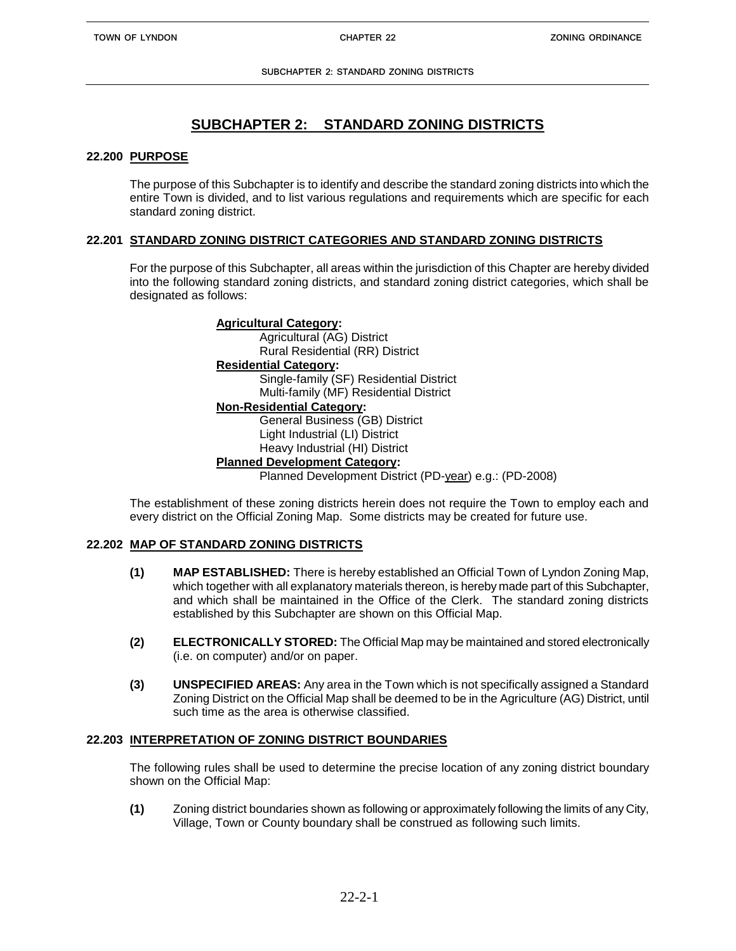#### **22.200 PURPOSE**

The purpose of this Subchapter is to identify and describe the standard zoning districts into which the entire Town is divided, and to list various regulations and requirements which are specific for each standard zoning district.

#### **22.201 STANDARD ZONING DISTRICT CATEGORIES AND STANDARD ZONING DISTRICTS**

For the purpose of this Subchapter, all areas within the jurisdiction of this Chapter are hereby divided into the following standard zoning districts, and standard zoning district categories, which shall be designated as follows:

# **Agricultural Category:** Agricultural (AG) District Rural Residential (RR) District **Residential Category:**

Single-family (SF) Residential District Multi-family (MF) Residential District

# **Non-Residential Category:**

General Business (GB) District Light Industrial (LI) District Heavy Industrial (HI) District

# **Planned Development Category:**

Planned Development District (PD-year) e.g.: (PD-2008)

The establishment of these zoning districts herein does not require the Town to employ each and every district on the Official Zoning Map. Some districts may be created for future use.

### **22.202 MAP OF STANDARD ZONING DISTRICTS**

- **(1) MAP ESTABLISHED:** There is hereby established an Official Town of Lyndon Zoning Map, which together with all explanatory materials thereon, is hereby made part of this Subchapter, and which shall be maintained in the Office of the Clerk. The standard zoning districts established by this Subchapter are shown on this Official Map.
- **(2) ELECTRONICALLY STORED:** The Official Map may be maintained and stored electronically (i.e. on computer) and/or on paper.
- **(3) UNSPECIFIED AREAS:** Any area in the Town which is not specifically assigned a Standard Zoning District on the Official Map shall be deemed to be in the Agriculture (AG) District, until such time as the area is otherwise classified.

# **22.203 INTERPRETATION OF ZONING DISTRICT BOUNDARIES**

The following rules shall be used to determine the precise location of any zoning district boundary shown on the Official Map:

**(1)** Zoning district boundaries shown as following or approximately following the limits of any City, Village, Town or County boundary shall be construed as following such limits.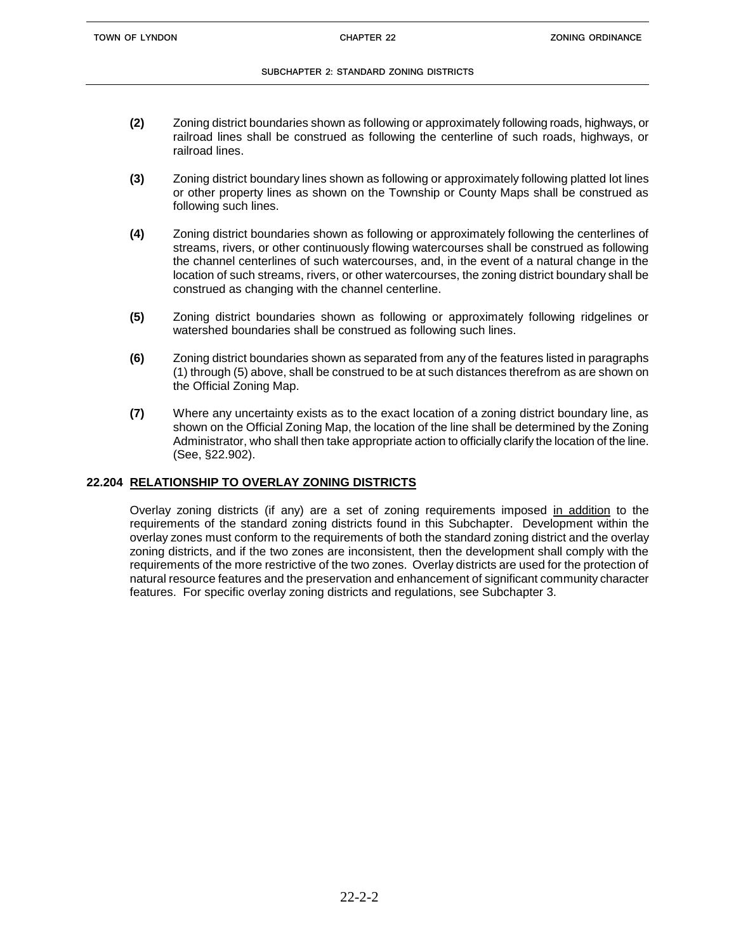- **(2)** Zoning district boundaries shown as following or approximately following roads, highways, or railroad lines shall be construed as following the centerline of such roads, highways, or railroad lines.
- **(3)** Zoning district boundary lines shown as following or approximately following platted lot lines or other property lines as shown on the Township or County Maps shall be construed as following such lines.
- **(4)** Zoning district boundaries shown as following or approximately following the centerlines of streams, rivers, or other continuously flowing watercourses shall be construed as following the channel centerlines of such watercourses, and, in the event of a natural change in the location of such streams, rivers, or other watercourses, the zoning district boundary shall be construed as changing with the channel centerline.
- **(5)** Zoning district boundaries shown as following or approximately following ridgelines or watershed boundaries shall be construed as following such lines.
- **(6)** Zoning district boundaries shown as separated from any of the features listed in paragraphs (1) through (5) above, shall be construed to be at such distances therefrom as are shown on the Official Zoning Map.
- **(7)** Where any uncertainty exists as to the exact location of a zoning district boundary line, as shown on the Official Zoning Map, the location of the line shall be determined by the Zoning Administrator, who shall then take appropriate action to officially clarify the location of the line. (See, §22.902).

# **22.204 RELATIONSHIP TO OVERLAY ZONING DISTRICTS**

Overlay zoning districts (if any) are a set of zoning requirements imposed in addition to the requirements of the standard zoning districts found in this Subchapter. Development within the overlay zones must conform to the requirements of both the standard zoning district and the overlay zoning districts, and if the two zones are inconsistent, then the development shall comply with the requirements of the more restrictive of the two zones. Overlay districts are used for the protection of natural resource features and the preservation and enhancement of significant community character features. For specific overlay zoning districts and regulations, see Subchapter 3.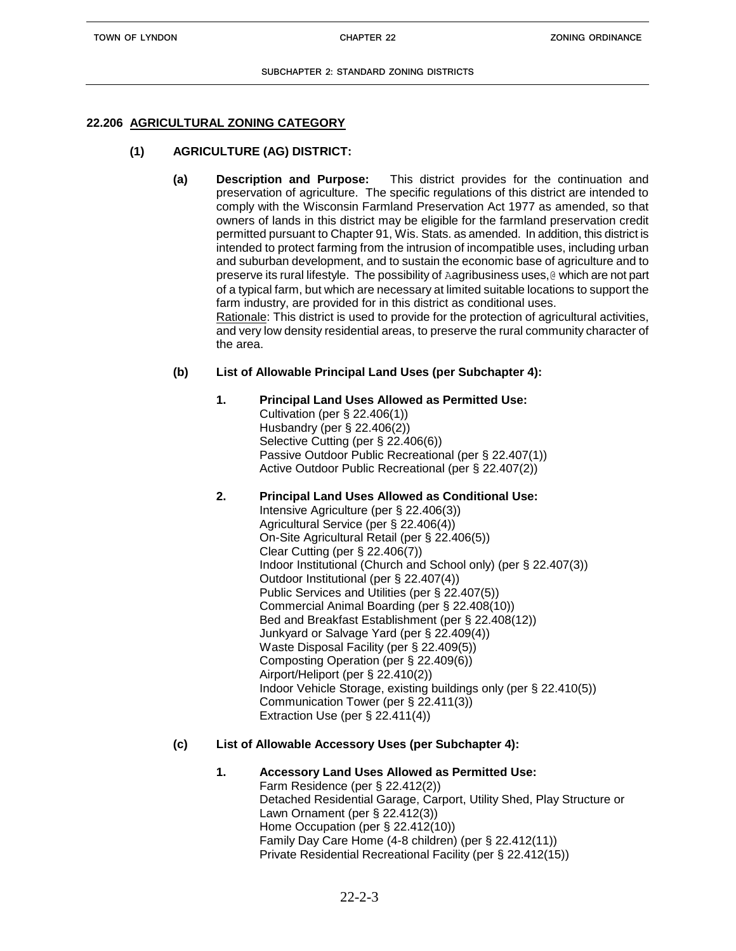# **22.206 AGRICULTURAL ZONING CATEGORY**

# **(1) AGRICULTURE (AG) DISTRICT:**

**(a) Description and Purpose:** This district provides for the continuation and preservation of agriculture. The specific regulations of this district are intended to comply with the Wisconsin Farmland Preservation Act 1977 as amended, so that owners of lands in this district may be eligible for the farmland preservation credit permitted pursuant to Chapter 91, Wis. Stats. as amended. In addition, this district is intended to protect farming from the intrusion of incompatible uses, including urban and suburban development, and to sustain the economic base of agriculture and to preserve its rural lifestyle. The possibility of Aagribusiness uses,@ which are not part of a typical farm, but which are necessary at limited suitable locations to support the farm industry, are provided for in this district as conditional uses. Rationale: This district is used to provide for the protection of agricultural activities, and very low density residential areas, to preserve the rural community character of the area.

### **(b) List of Allowable Principal Land Uses (per Subchapter 4):**

# **1. Principal Land Uses Allowed as Permitted Use:**

Cultivation (per § 22.406(1)) Husbandry (per § 22.406(2)) Selective Cutting (per § 22.406(6)) Passive Outdoor Public Recreational (per § 22.407(1)) Active Outdoor Public Recreational (per § 22.407(2))

### **2. Principal Land Uses Allowed as Conditional Use:**

Intensive Agriculture (per § 22.406(3)) Agricultural Service (per § 22.406(4)) On-Site Agricultural Retail (per § 22.406(5)) Clear Cutting (per § 22.406(7)) Indoor Institutional (Church and School only) (per § 22.407(3)) Outdoor Institutional (per § 22.407(4)) Public Services and Utilities (per § 22.407(5)) Commercial Animal Boarding (per § 22.408(10)) Bed and Breakfast Establishment (per § 22.408(12)) Junkyard or Salvage Yard (per § 22.409(4)) Waste Disposal Facility (per § 22.409(5)) Composting Operation (per § 22.409(6)) Airport/Heliport (per § 22.410(2)) Indoor Vehicle Storage, existing buildings only (per § 22.410(5)) Communication Tower (per § 22.411(3)) Extraction Use (per § 22.411(4))

### **(c) List of Allowable Accessory Uses (per Subchapter 4):**

**1. Accessory Land Uses Allowed as Permitted Use:** Farm Residence (per § 22.412(2)) Detached Residential Garage, Carport, Utility Shed, Play Structure or Lawn Ornament (per § 22.412(3)) Home Occupation (per § 22.412(10)) Family Day Care Home (4-8 children) (per § 22.412(11)) Private Residential Recreational Facility (per § 22.412(15))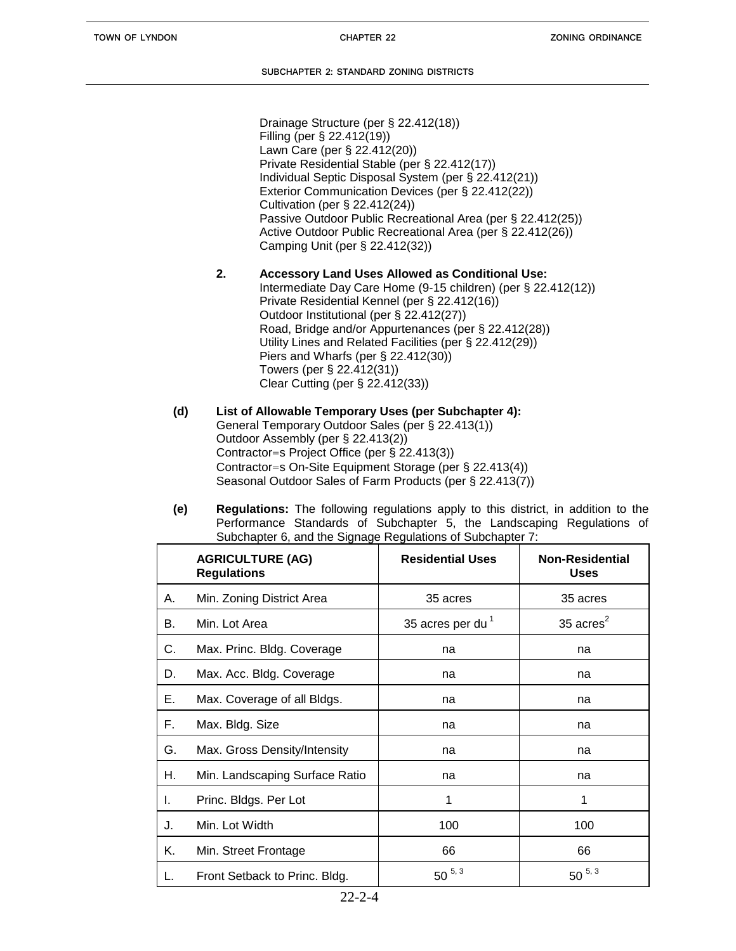Drainage Structure (per § 22.412(18)) Filling (per § 22.412(19)) Lawn Care (per § 22.412(20)) Private Residential Stable (per § 22.412(17)) Individual Septic Disposal System (per § 22.412(21)) Exterior Communication Devices (per § 22.412(22)) Cultivation (per § 22.412(24)) Passive Outdoor Public Recreational Area (per § 22.412(25)) Active Outdoor Public Recreational Area (per § 22.412(26)) Camping Unit (per § 22.412(32))

- **2. Accessory Land Uses Allowed as Conditional Use:** Intermediate Day Care Home (9-15 children) (per § 22.412(12)) Private Residential Kennel (per § 22.412(16)) Outdoor Institutional (per § 22.412(27)) Road, Bridge and/or Appurtenances (per § 22.412(28)) Utility Lines and Related Facilities (per § 22.412(29)) Piers and Wharfs (per § 22.412(30)) Towers (per § 22.412(31)) Clear Cutting (per § 22.412(33))
- **(d) List of Allowable Temporary Uses (per Subchapter 4):** General Temporary Outdoor Sales (per § 22.413(1)) Outdoor Assembly (per § 22.413(2)) Contractor=s Project Office (per § 22.413(3)) Contractor=s On-Site Equipment Storage (per § 22.413(4)) Seasonal Outdoor Sales of Farm Products (per § 22.413(7))
- **(e) Regulations:** The following regulations apply to this district, in addition to the Performance Standards of Subchapter 5, the Landscaping Regulations of Subchapter 6, and the Signage Regulations of Subchapter 7:

|    | <b>AGRICULTURE (AG)</b><br><b>Regulations</b> | <b>Residential Uses</b>      | <b>Non-Residential</b><br><b>Uses</b> |
|----|-----------------------------------------------|------------------------------|---------------------------------------|
| А. | Min. Zoning District Area                     | 35 acres                     | 35 acres                              |
| В. | Min. Lot Area                                 | 35 acres per du <sup>1</sup> | 35 $\arccos^2$                        |
| С. | Max. Princ. Bldg. Coverage                    | na                           | na                                    |
| D. | Max. Acc. Bldg. Coverage                      | na                           | na                                    |
| Е. | Max. Coverage of all Bldgs.                   | na                           | na                                    |
| Ε. | Max. Bldg. Size                               | na                           | na                                    |
| G. | Max. Gross Density/Intensity                  | na                           | na                                    |
| Н. | Min. Landscaping Surface Ratio                | na                           | na                                    |
| I. | Princ. Bldgs. Per Lot                         | 1                            | 1                                     |
| J. | Min. Lot Width                                | 100                          | 100                                   |
| Κ. | Min. Street Frontage                          | 66                           | 66                                    |
|    | Front Setback to Princ. Bldg.                 | $50^{5,3}$                   | $50^{5,3}$                            |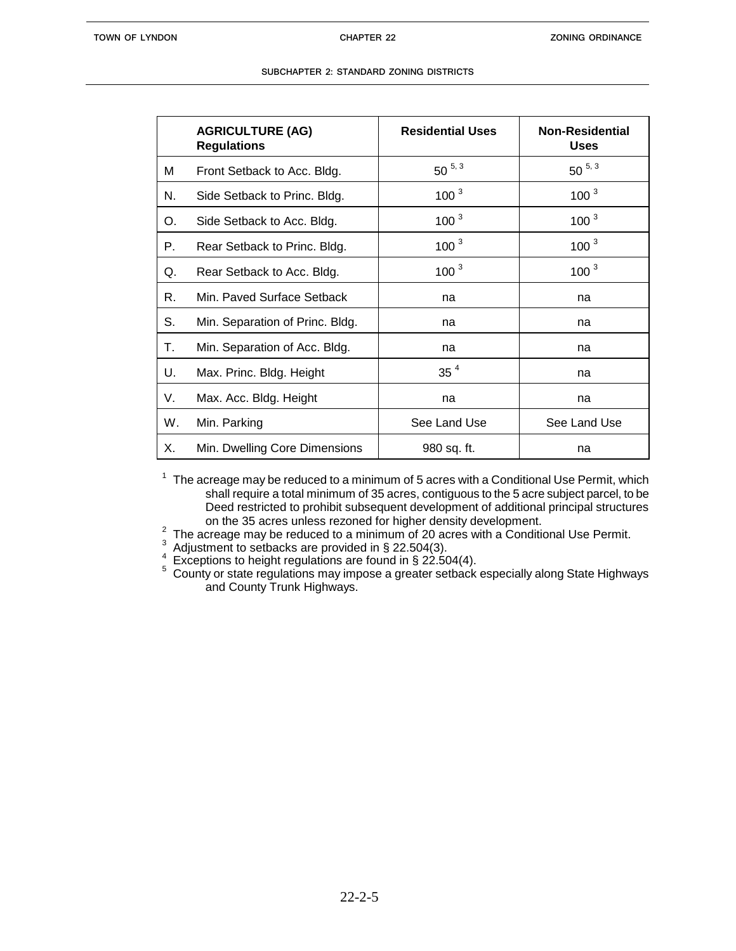|    | <b>AGRICULTURE (AG)</b><br><b>Regulations</b> | <b>Residential Uses</b> | <b>Non-Residential</b><br><b>Uses</b> |
|----|-----------------------------------------------|-------------------------|---------------------------------------|
| м  | Front Setback to Acc. Bldg.                   | $50^{5,3}$              | $50^{5,3}$                            |
| N. | Side Setback to Princ. Bldg.                  | $100^{3}$               | $100^{3}$                             |
| О. | Side Setback to Acc. Bldg.                    | $100^{3}$               | $100^{3}$                             |
| Р. | Rear Setback to Princ. Bldg.                  | 100 <sup>3</sup>        | 100 <sup>3</sup>                      |
| Q. | Rear Setback to Acc. Bldg.                    | $100^{3}$               | $100^{3}$                             |
| R. | Min. Paved Surface Setback                    | na                      | na                                    |
| S. | Min. Separation of Princ. Bldg.               | na                      | na                                    |
| Т. | Min. Separation of Acc. Bldg.                 | na                      | na                                    |
| U. | Max. Princ. Bldg. Height                      | 35 <sup>4</sup>         | na                                    |
| V. | Max. Acc. Bldg. Height                        | na                      | na                                    |
| W. | Min. Parking                                  | See Land Use            | See Land Use                          |
| Х. | Min. Dwelling Core Dimensions                 | 980 sq. ft.             | na                                    |

 $1$  The acreage may be reduced to a minimum of 5 acres with a Conditional Use Permit, which shall require a total minimum of 35 acres, contiguous to the 5 acre subject parcel, to be Deed restricted to prohibit subsequent development of additional principal structures on the 35 acres unless rezoned for higher density development.

<sup>2</sup> The acreage may be reduced to a minimum of 20 acres with a Conditional Use Permit.

3 Adjustment to setbacks are provided in § 22.504(3).

- 4 Exceptions to height regulations are found in § 22.504(4).
- <sup>5</sup> County or state regulations may impose a greater setback especially along State Highways and County Trunk Highways.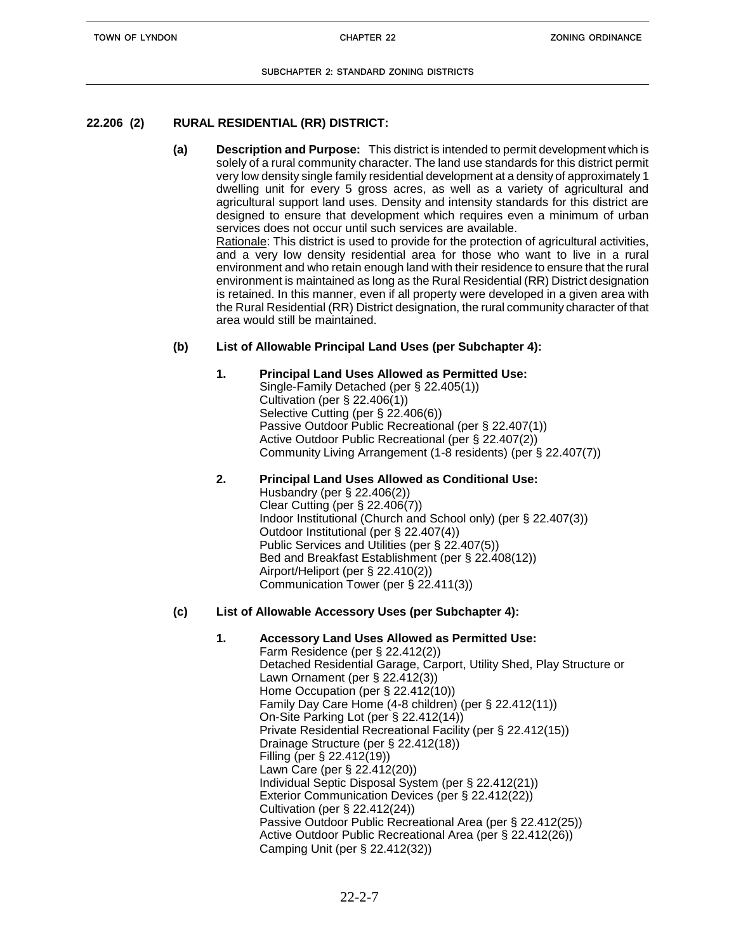# **22.206 (2) RURAL RESIDENTIAL (RR) DISTRICT:**

**(a) Description and Purpose:** This district is intended to permit development which is solely of a rural community character. The land use standards for this district permit very low density single family residential development at a density of approximately 1 dwelling unit for every 5 gross acres, as well as a variety of agricultural and agricultural support land uses. Density and intensity standards for this district are designed to ensure that development which requires even a minimum of urban services does not occur until such services are available. Rationale: This district is used to provide for the protection of agricultural activities, and a very low density residential area for those who want to live in a rural environment and who retain enough land with their residence to ensure that the rural environment is maintained as long as the Rural Residential (RR) District designation is retained. In this manner, even if all property were developed in a given area with the Rural Residential (RR) District designation, the rural community character of that

# **(b) List of Allowable Principal Land Uses (per Subchapter 4):**

area would still be maintained.

# **1. Principal Land Uses Allowed as Permitted Use:**

Single-Family Detached (per § 22.405(1)) Cultivation (per § 22.406(1)) Selective Cutting (per § 22.406(6)) Passive Outdoor Public Recreational (per § 22.407(1)) Active Outdoor Public Recreational (per § 22.407(2)) Community Living Arrangement (1-8 residents) (per § 22.407(7))

# **2. Principal Land Uses Allowed as Conditional Use:**

Husbandry (per § 22.406(2)) Clear Cutting (per § 22.406(7)) Indoor Institutional (Church and School only) (per § 22.407(3)) Outdoor Institutional (per § 22.407(4)) Public Services and Utilities (per § 22.407(5)) Bed and Breakfast Establishment (per § 22.408(12)) Airport/Heliport (per § 22.410(2)) Communication Tower (per § 22.411(3))

# **(c) List of Allowable Accessory Uses (per Subchapter 4):**

# **1. Accessory Land Uses Allowed as Permitted Use:**

Farm Residence (per § 22.412(2)) Detached Residential Garage, Carport, Utility Shed, Play Structure or Lawn Ornament (per § 22.412(3)) Home Occupation (per § 22.412(10)) Family Day Care Home (4-8 children) (per § 22.412(11)) On-Site Parking Lot (per § 22.412(14)) Private Residential Recreational Facility (per § 22.412(15)) Drainage Structure (per § 22.412(18)) Filling (per § 22.412(19)) Lawn Care (per § 22.412(20)) Individual Septic Disposal System (per § 22.412(21)) Exterior Communication Devices (per § 22.412(22)) Cultivation (per § 22.412(24)) Passive Outdoor Public Recreational Area (per § 22.412(25)) Active Outdoor Public Recreational Area (per § 22.412(26)) Camping Unit (per § 22.412(32))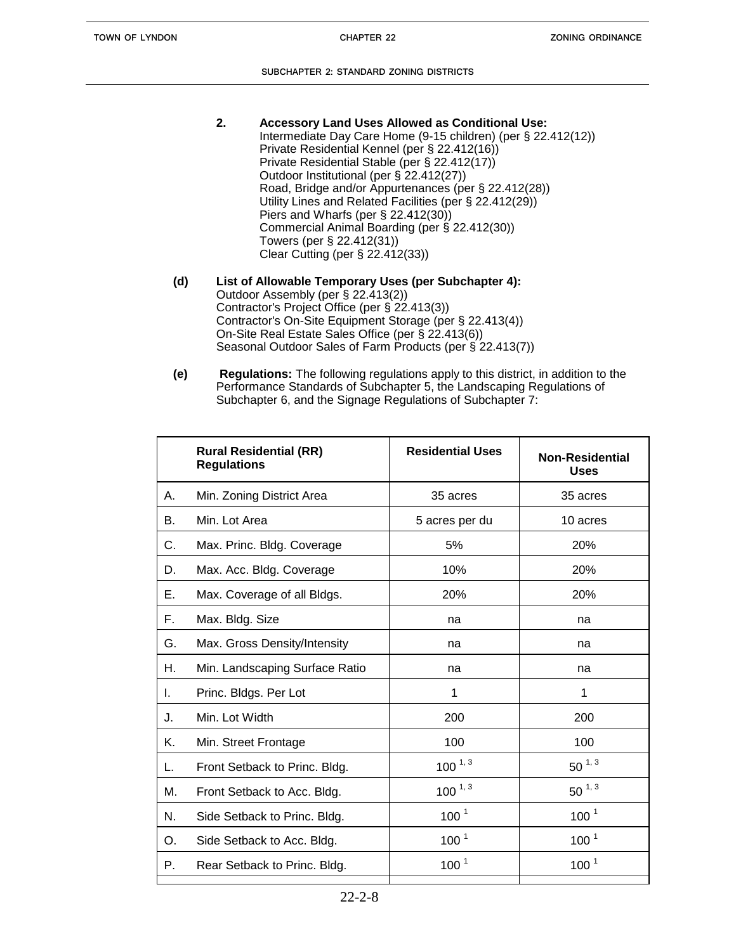- **2. Accessory Land Uses Allowed as Conditional Use:** Intermediate Day Care Home (9-15 children) (per § 22.412(12)) Private Residential Kennel (per § 22.412(16)) Private Residential Stable (per § 22.412(17)) Outdoor Institutional (per § 22.412(27)) Road, Bridge and/or Appurtenances (per § 22.412(28)) Utility Lines and Related Facilities (per § 22.412(29)) Piers and Wharfs (per § 22.412(30)) Commercial Animal Boarding (per § 22.412(30)) Towers (per § 22.412(31)) Clear Cutting (per § 22.412(33))
- **(d) List of Allowable Temporary Uses (per Subchapter 4):** Outdoor Assembly (per § 22.413(2)) Contractor's Project Office (per § 22.413(3)) Contractor's On-Site Equipment Storage (per § 22.413(4)) On-Site Real Estate Sales Office (per § 22.413(6)) Seasonal Outdoor Sales of Farm Products (per § 22.413(7))
- **(e) Regulations:** The following regulations apply to this district, in addition to the Performance Standards of Subchapter 5, the Landscaping Regulations of Subchapter 6, and the Signage Regulations of Subchapter 7:

|    | <b>Rural Residential (RR)</b><br><b>Regulations</b> | <b>Residential Uses</b> | <b>Non-Residential</b><br><b>Uses</b> |
|----|-----------------------------------------------------|-------------------------|---------------------------------------|
| А. | Min. Zoning District Area                           | 35 acres                | 35 acres                              |
| В. | Min. Lot Area                                       | 5 acres per du          | 10 acres                              |
| С. | Max. Princ. Bldg. Coverage                          | 5%                      | 20%                                   |
| D. | Max. Acc. Bldg. Coverage                            | 10%                     | 20%                                   |
| Е. | Max. Coverage of all Bldgs.                         | 20%                     | 20%                                   |
| F. | Max. Bldg. Size                                     | na                      | na                                    |
| G. | Max. Gross Density/Intensity                        | na                      | na                                    |
| Н. | Min. Landscaping Surface Ratio                      | na                      | na                                    |
| L. | Princ. Bldgs. Per Lot                               | 1                       | 1                                     |
| J. | Min. Lot Width                                      | 200                     | 200                                   |
| Κ. | Min. Street Frontage                                | 100                     | 100                                   |
| L. | Front Setback to Princ. Bldg.                       | $100^{1,3}$             | $50^{1,3}$                            |
| М. | Front Setback to Acc. Bldg.                         | $100^{1,3}$             | $50^{1,3}$                            |
| N. | Side Setback to Princ. Bldg.                        | 100 <sup>1</sup>        | 100 <sup>1</sup>                      |
| O. | Side Setback to Acc. Bldg.                          | 100 <sup>1</sup>        | 100 <sup>1</sup>                      |
| Р. | Rear Setback to Princ. Bldg.                        | 100 <sup>1</sup>        | 100 <sup>1</sup>                      |
|    |                                                     |                         |                                       |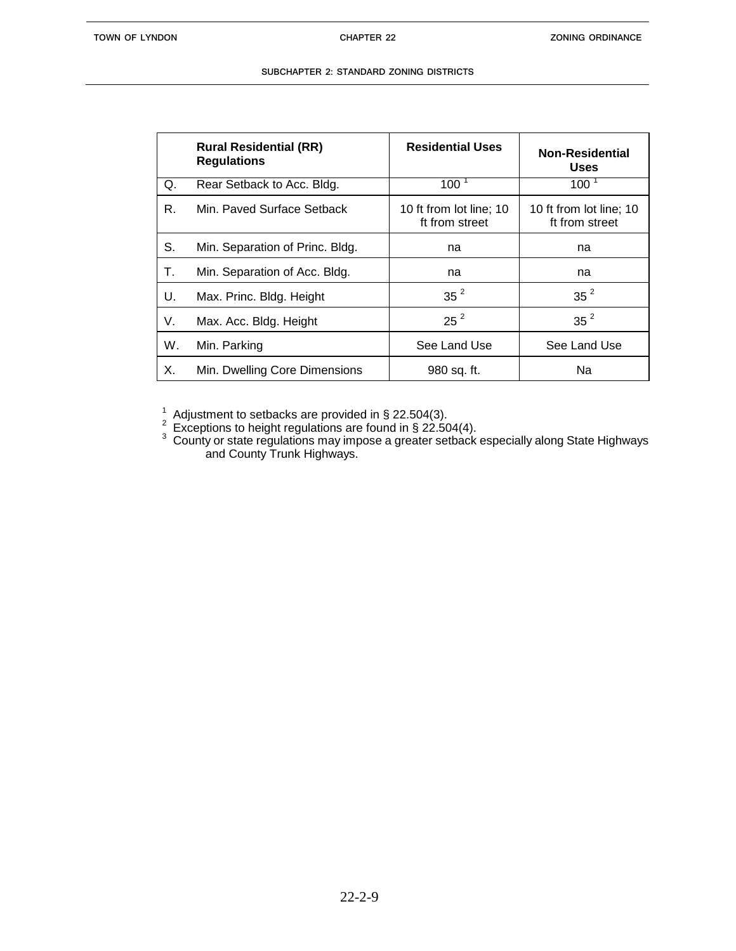| SUBCHAPTER 2: STANDARD ZONING DISTRICTS. |  |  |  |
|------------------------------------------|--|--|--|
|                                          |  |  |  |

|    | <b>Rural Residential (RR)</b><br><b>Regulations</b> | <b>Residential Uses</b>                   | <b>Non-Residential</b><br><b>Uses</b>     |
|----|-----------------------------------------------------|-------------------------------------------|-------------------------------------------|
| Q. | Rear Setback to Acc. Bldg.                          | 100 <sup>1</sup>                          | $100-1$                                   |
| R. | Min. Paved Surface Setback                          | 10 ft from lot line; 10<br>ft from street | 10 ft from lot line; 10<br>ft from street |
| S. | Min. Separation of Princ. Bldg.                     | na                                        | na                                        |
| Т. | Min. Separation of Acc. Bldg.                       | na                                        | na                                        |
| U. | Max. Princ. Bldg. Height                            | 35 <sup>2</sup>                           | $35^2$                                    |
| V. | Max. Acc. Bldg. Height                              | $25^2$                                    | 35 <sup>2</sup>                           |
| W. | Min. Parking                                        | See Land Use                              | See Land Use                              |
| Х. | Min. Dwelling Core Dimensions                       | 980 sq. ft.                               | Na                                        |

<sup>1</sup> Adjustment to setbacks are provided in § 22.504(3).<br><sup>2</sup> Exceptions to height regulations are found in § 22.504(4).

 $3$  County or state regulations may impose a greater setback especially along State Highways and County Trunk Highways.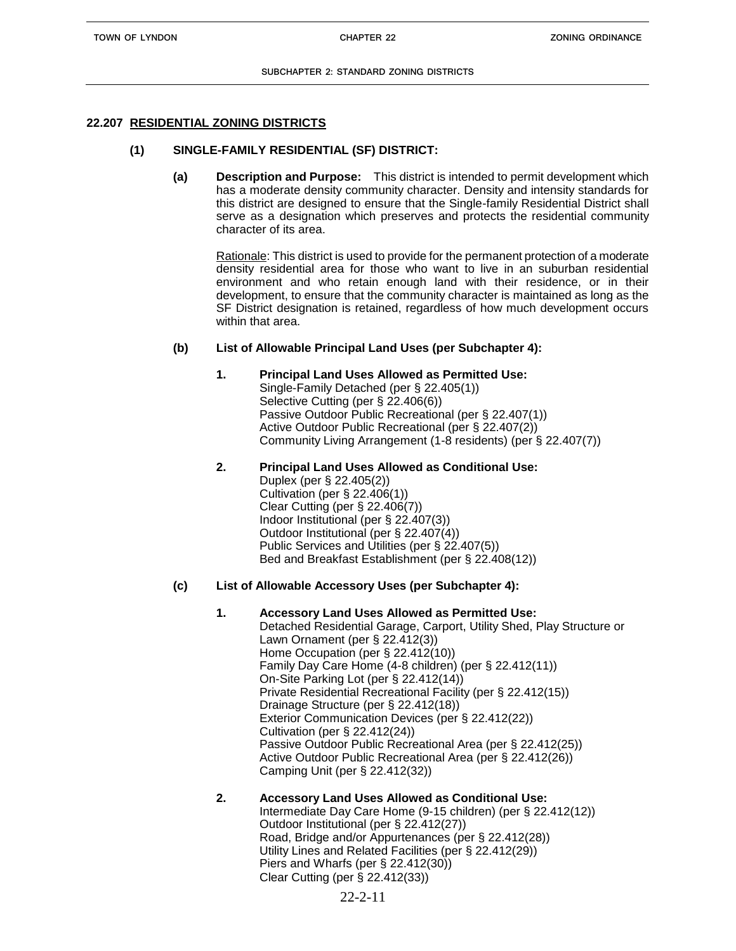#### **22.207 RESIDENTIAL ZONING DISTRICTS**

#### **(1) SINGLE-FAMILY RESIDENTIAL (SF) DISTRICT:**

**(a) Description and Purpose:** This district is intended to permit development which has a moderate density community character. Density and intensity standards for this district are designed to ensure that the Single-family Residential District shall serve as a designation which preserves and protects the residential community character of its area.

Rationale: This district is used to provide for the permanent protection of a moderate density residential area for those who want to live in an suburban residential environment and who retain enough land with their residence, or in their development, to ensure that the community character is maintained as long as the SF District designation is retained, regardless of how much development occurs within that area.

#### **(b) List of Allowable Principal Land Uses (per Subchapter 4):**

- **1. Principal Land Uses Allowed as Permitted Use:** Single-Family Detached (per § 22.405(1)) Selective Cutting (per § 22.406(6)) Passive Outdoor Public Recreational (per § 22.407(1)) Active Outdoor Public Recreational (per § 22.407(2)) Community Living Arrangement (1-8 residents) (per § 22.407(7))
- **2. Principal Land Uses Allowed as Conditional Use:**  Duplex (per § 22.405(2)) Cultivation (per § 22.406(1)) Clear Cutting (per § 22.406(7)) Indoor Institutional (per § 22.407(3)) Outdoor Institutional (per § 22.407(4)) Public Services and Utilities (per § 22.407(5)) Bed and Breakfast Establishment (per § 22.408(12))

#### **(c) List of Allowable Accessory Uses (per Subchapter 4):**

**1. Accessory Land Uses Allowed as Permitted Use:** Detached Residential Garage, Carport, Utility Shed, Play Structure or Lawn Ornament (per § 22.412(3)) Home Occupation (per § 22.412(10)) Family Day Care Home (4-8 children) (per § 22.412(11)) On-Site Parking Lot (per § 22.412(14)) Private Residential Recreational Facility (per § 22.412(15)) Drainage Structure (per § 22.412(18)) Exterior Communication Devices (per § 22.412(22)) Cultivation (per § 22.412(24)) Passive Outdoor Public Recreational Area (per § 22.412(25)) Active Outdoor Public Recreational Area (per § 22.412(26)) Camping Unit (per § 22.412(32))

#### **2. Accessory Land Uses Allowed as Conditional Use:** Intermediate Day Care Home (9-15 children) (per § 22.412(12)) Outdoor Institutional (per § 22.412(27)) Road, Bridge and/or Appurtenances (per § 22.412(28)) Utility Lines and Related Facilities (per § 22.412(29)) Piers and Wharfs (per § 22.412(30))

Clear Cutting (per § 22.412(33))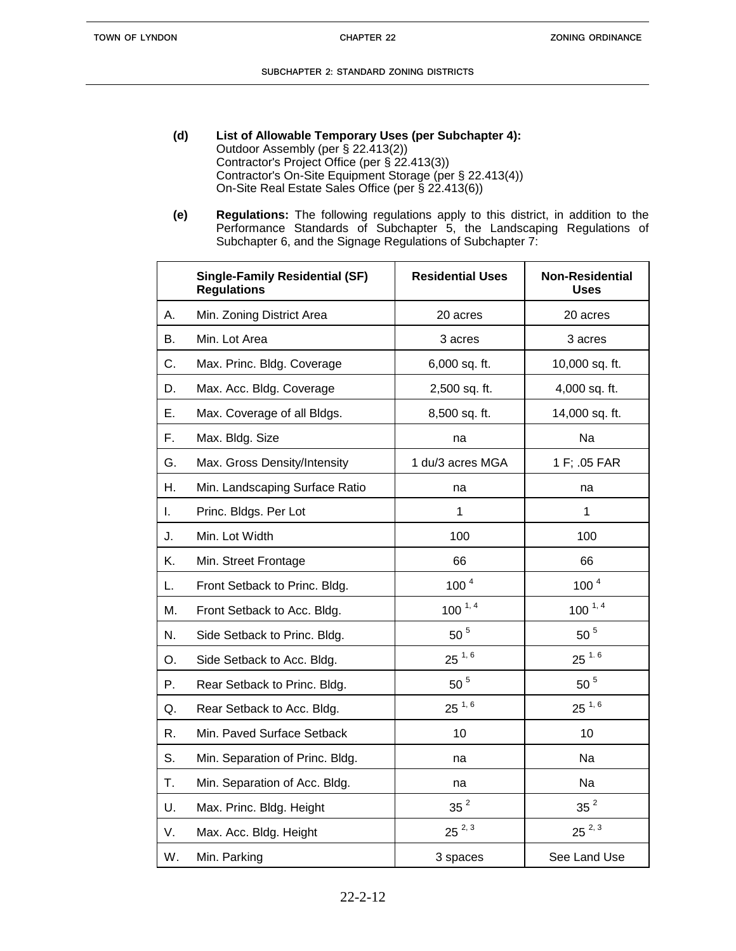- **(d) List of Allowable Temporary Uses (per Subchapter 4):**  Outdoor Assembly (per § 22.413(2)) Contractor's Project Office (per § 22.413(3)) Contractor's On-Site Equipment Storage (per § 22.413(4)) On-Site Real Estate Sales Office (per § 22.413(6))
- **(e) Regulations:** The following regulations apply to this district, in addition to the Performance Standards of Subchapter 5, the Landscaping Regulations of Subchapter 6, and the Signage Regulations of Subchapter 7:

|    | <b>Single-Family Residential (SF)</b><br><b>Regulations</b> | <b>Residential Uses</b> | <b>Non-Residential</b><br><b>Uses</b> |
|----|-------------------------------------------------------------|-------------------------|---------------------------------------|
| А. | Min. Zoning District Area                                   | 20 acres                | 20 acres                              |
| В. | Min. Lot Area                                               | 3 acres                 | 3 acres                               |
| C. | Max. Princ. Bldg. Coverage                                  | 6,000 sq. ft.           | 10,000 sq. ft.                        |
| D. | Max. Acc. Bldg. Coverage                                    | 2,500 sq. ft.           | 4,000 sq. ft.                         |
| Ε. | Max. Coverage of all Bldgs.                                 | 8,500 sq. ft.           | 14,000 sq. ft.                        |
| F. | Max. Bldg. Size                                             | na                      | Na                                    |
| G. | Max. Gross Density/Intensity                                | 1 du/3 acres MGA        | 1 F; .05 FAR                          |
| Η. | Min. Landscaping Surface Ratio                              | na                      | na                                    |
| I. | Princ. Bldgs. Per Lot                                       | $\mathbf{1}$            | $\mathbf{1}$                          |
| J. | Min. Lot Width                                              | 100                     | 100                                   |
| Κ. | Min. Street Frontage                                        | 66                      | 66                                    |
| L. | Front Setback to Princ. Bldg.                               | 100 <sup>4</sup>        | 100 <sup>4</sup>                      |
| M. | Front Setback to Acc. Bldg.                                 | $100^{1,4}$             | $100^{1,4}$                           |
| N. | Side Setback to Princ. Bldg.                                | $50$ $^5\,$             | $50$ $^5\,$                           |
| O. | Side Setback to Acc. Bldg.                                  | $25^{1,6}$              | $25^{1.6}$                            |
| Ρ. | Rear Setback to Princ. Bldg.                                | 50 <sup>5</sup>         | 50 <sup>5</sup>                       |
| Q. | Rear Setback to Acc. Bldg.                                  | $25^{1,6}$              | $25^{1,6}$                            |
| R. | Min. Paved Surface Setback                                  | 10                      | 10                                    |
| S. | Min. Separation of Princ. Bldg.                             | na                      | Na                                    |
| Τ. | Min. Separation of Acc. Bldg.                               | na                      | Na                                    |
| U. | Max. Princ. Bldg. Height                                    | 35 <sup>2</sup>         | 35 <sup>2</sup>                       |
| V. | Max. Acc. Bldg. Height                                      | $25^{2,3}$              | $25^{2,3}$                            |
| W. | Min. Parking                                                | 3 spaces                | See Land Use                          |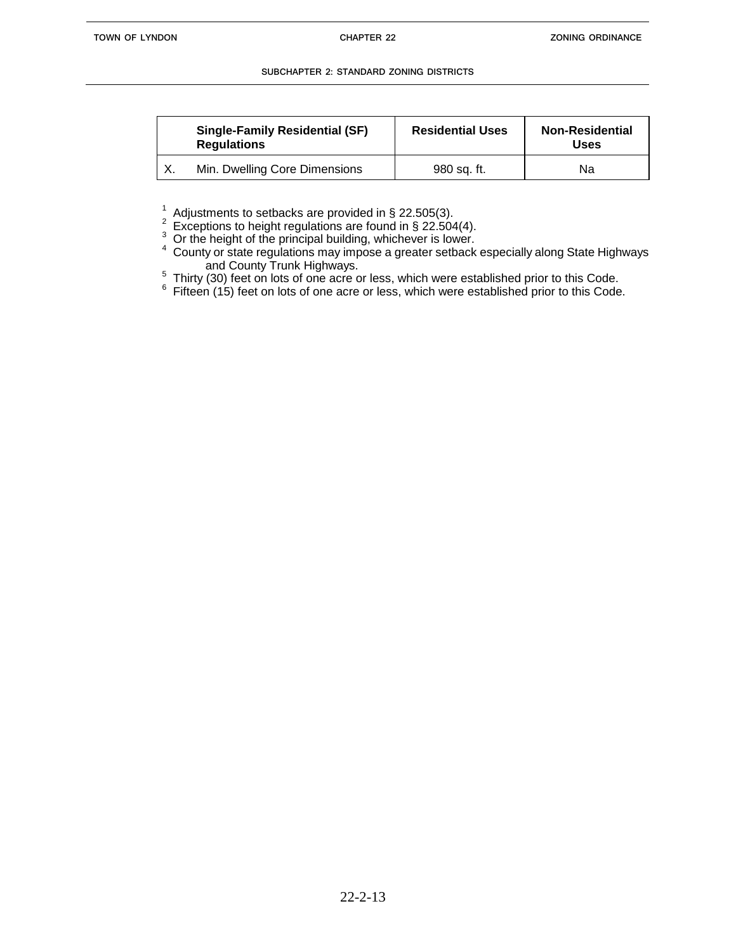|    | <b>Single-Family Residential (SF)</b><br><b>Regulations</b> | <b>Residential Uses</b> | <b>Non-Residential</b><br><b>Uses</b> |
|----|-------------------------------------------------------------|-------------------------|---------------------------------------|
| Χ. | Min. Dwelling Core Dimensions                               | 980 sq. ft.             | Na                                    |

<sup>1</sup> Adjustments to setbacks are provided in § 22.505(3).<br><sup>2</sup> Exceptions to height regulations are found in § 22.504(4).

<sup>3</sup> Or the height of the principal building, whichever is lower.

<sup>4</sup> County or state regulations may impose a greater setback especially along State Highways and County Trunk Highways.

 $5$  Thirty (30) feet on lots of one acre or less, which were established prior to this Code.

 $6$  Fifteen (15) feet on lots of one acre or less, which were established prior to this Code.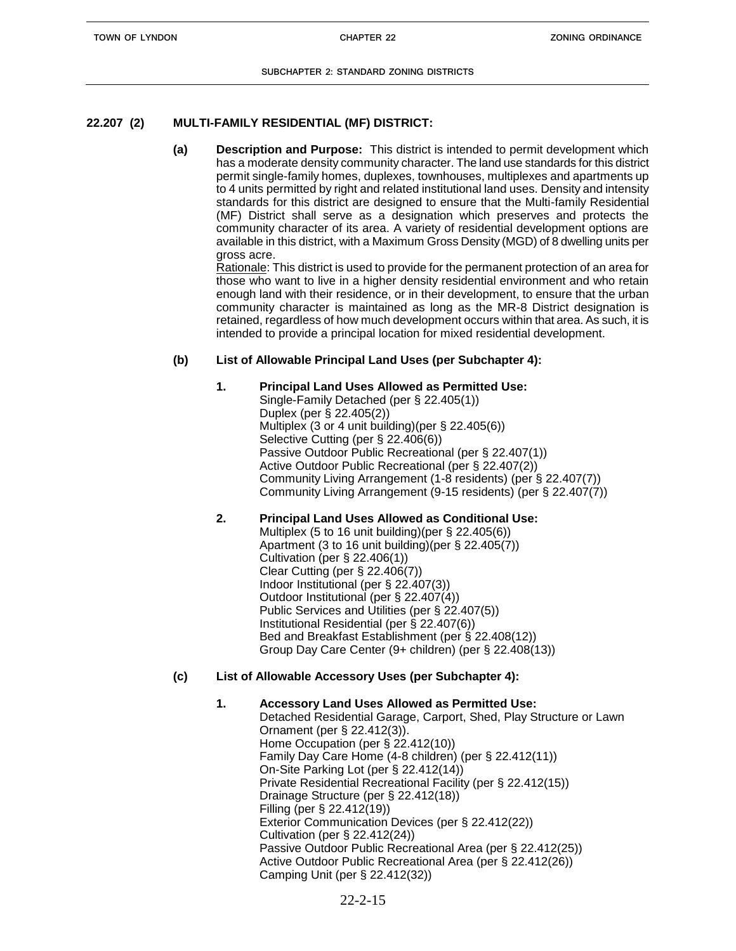# **22.207 (2) MULTI-FAMILY RESIDENTIAL (MF) DISTRICT:**

**(a) Description and Purpose:** This district is intended to permit development which has a moderate density community character. The land use standards for this district permit single-family homes, duplexes, townhouses, multiplexes and apartments up to 4 units permitted by right and related institutional land uses. Density and intensity standards for this district are designed to ensure that the Multi-family Residential (MF) District shall serve as a designation which preserves and protects the community character of its area. A variety of residential development options are available in this district, with a Maximum Gross Density (MGD) of 8 dwelling units per gross acre.

Rationale: This district is used to provide for the permanent protection of an area for those who want to live in a higher density residential environment and who retain enough land with their residence, or in their development, to ensure that the urban community character is maintained as long as the MR-8 District designation is retained, regardless of how much development occurs within that area. As such, it is intended to provide a principal location for mixed residential development.

# **(b) List of Allowable Principal Land Uses (per Subchapter 4):**

### **1. Principal Land Uses Allowed as Permitted Use:**

Single-Family Detached (per § 22.405(1)) Duplex (per § 22.405(2)) Multiplex (3 or 4 unit building)(per § 22.405(6)) Selective Cutting (per § 22.406(6)) Passive Outdoor Public Recreational (per § 22.407(1)) Active Outdoor Public Recreational (per § 22.407(2)) Community Living Arrangement (1-8 residents) (per § 22.407(7)) Community Living Arrangement (9-15 residents) (per § 22.407(7))

# **2. Principal Land Uses Allowed as Conditional Use:**

Multiplex (5 to 16 unit building)(per § 22.405(6)) Apartment (3 to 16 unit building)(per § 22.405(7)) Cultivation (per § 22.406(1)) Clear Cutting (per § 22.406(7)) Indoor Institutional (per § 22.407(3)) Outdoor Institutional (per § 22.407(4)) Public Services and Utilities (per § 22.407(5)) Institutional Residential (per § 22.407(6)) Bed and Breakfast Establishment (per § 22.408(12)) Group Day Care Center (9+ children) (per § 22.408(13))

# **(c) List of Allowable Accessory Uses (per Subchapter 4):**

### **1. Accessory Land Uses Allowed as Permitted Use:**

Detached Residential Garage, Carport, Shed, Play Structure or Lawn Ornament (per § 22.412(3)). Home Occupation (per § 22.412(10)) Family Day Care Home (4-8 children) (per § 22.412(11)) On-Site Parking Lot (per § 22.412(14)) Private Residential Recreational Facility (per § 22.412(15)) Drainage Structure (per § 22.412(18)) Filling (per § 22.412(19)) Exterior Communication Devices (per § 22.412(22)) Cultivation (per § 22.412(24)) Passive Outdoor Public Recreational Area (per § 22.412(25)) Active Outdoor Public Recreational Area (per § 22.412(26)) Camping Unit (per § 22.412(32))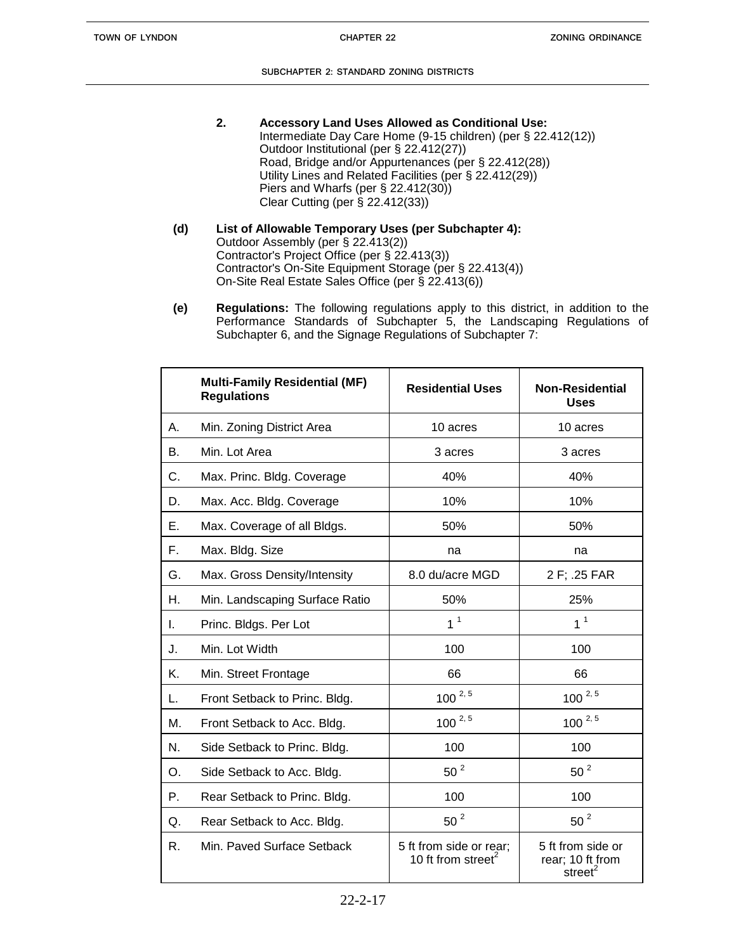- **2. Accessory Land Uses Allowed as Conditional Use:** Intermediate Day Care Home (9-15 children) (per § 22.412(12)) Outdoor Institutional (per § 22.412(27)) Road, Bridge and/or Appurtenances (per § 22.412(28)) Utility Lines and Related Facilities (per § 22.412(29)) Piers and Wharfs (per § 22.412(30)) Clear Cutting (per § 22.412(33))
- **(d) List of Allowable Temporary Uses (per Subchapter 4):** Outdoor Assembly (per § 22.413(2)) Contractor's Project Office (per § 22.413(3)) Contractor's On-Site Equipment Storage (per § 22.413(4)) On-Site Real Estate Sales Office (per § 22.413(6))
- **(e) Regulations:** The following regulations apply to this district, in addition to the Performance Standards of Subchapter 5, the Landscaping Regulations of Subchapter 6, and the Signage Regulations of Subchapter 7:

|    | <b>Multi-Family Residential (MF)</b><br><b>Regulations</b> | <b>Residential Uses</b>                                   | <b>Non-Residential</b><br><b>Uses</b>                        |
|----|------------------------------------------------------------|-----------------------------------------------------------|--------------------------------------------------------------|
| А. | Min. Zoning District Area                                  | 10 acres                                                  | 10 acres                                                     |
| В. | Min. Lot Area                                              | 3 acres                                                   | 3 acres                                                      |
| C. | Max. Princ. Bldg. Coverage                                 | 40%                                                       | 40%                                                          |
| D. | Max. Acc. Bldg. Coverage                                   | 10%                                                       | 10%                                                          |
| Ε. | Max. Coverage of all Bldgs.                                | 50%                                                       | 50%                                                          |
| F. | Max. Bldg. Size                                            | na                                                        | na                                                           |
| G. | Max. Gross Density/Intensity                               | 8.0 du/acre MGD                                           | 2 F; .25 FAR                                                 |
| Η. | Min. Landscaping Surface Ratio                             | 50%                                                       | 25%                                                          |
| L. | Princ. Bldgs. Per Lot                                      | 1 <sup>1</sup>                                            | 1 <sup>1</sup>                                               |
| J. | Min. Lot Width                                             | 100                                                       | 100                                                          |
| Κ. | Min. Street Frontage                                       | 66                                                        | 66                                                           |
| L. | Front Setback to Princ. Bldg.                              | $100^{2,5}$                                               | $100^{2,5}$                                                  |
| Μ. | Front Setback to Acc. Bldg.                                | $100^{2,5}$                                               | $100^{2,5}$                                                  |
| N. | Side Setback to Princ. Bldg.                               | 100                                                       | 100                                                          |
| O. | Side Setback to Acc. Bldg.                                 | 50 <sup>2</sup>                                           | 50 <sup>2</sup>                                              |
| Ρ. | Rear Setback to Princ. Bldg.                               | 100                                                       | 100                                                          |
| Q. | Rear Setback to Acc. Bldg.                                 | $50^2$                                                    | $50^2$                                                       |
| R. | Min. Paved Surface Setback                                 | 5 ft from side or rear;<br>10 ft from street <sup>2</sup> | 5 ft from side or<br>rear; 10 ft from<br>street <sup>2</sup> |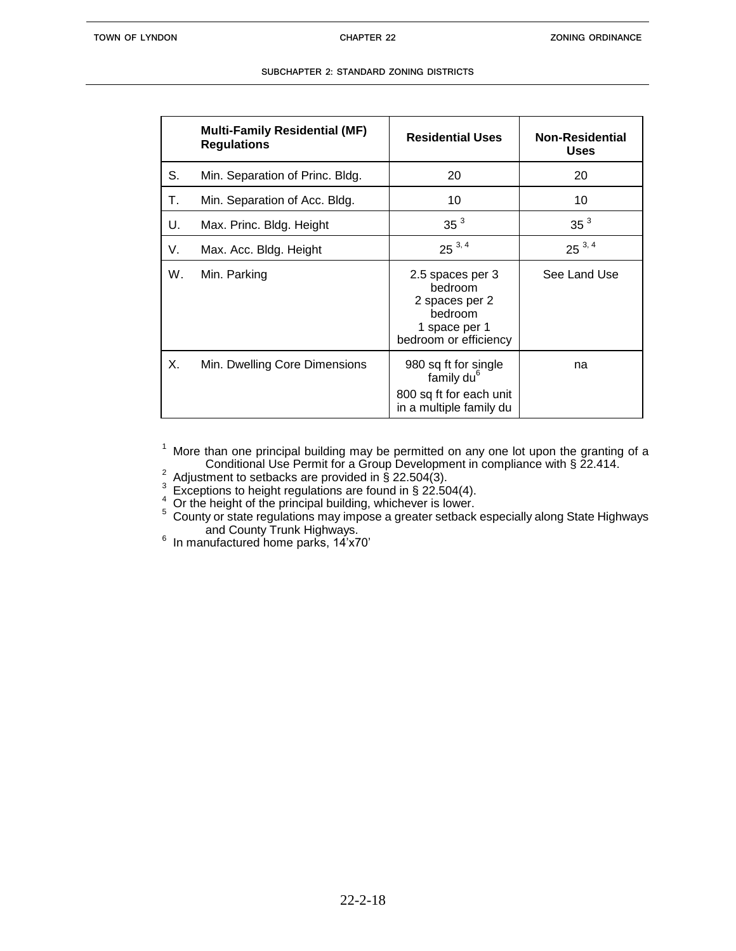|    | <b>Multi-Family Residential (MF)</b><br><b>Regulations</b> | <b>Residential Uses</b>                                                                              | <b>Non-Residential</b><br><b>Uses</b> |
|----|------------------------------------------------------------|------------------------------------------------------------------------------------------------------|---------------------------------------|
| S. | Min. Separation of Princ. Bldg.                            | 20                                                                                                   | 20                                    |
| т. | Min. Separation of Acc. Bldg.                              | 10                                                                                                   | 10                                    |
| U. | Max. Princ. Bldg. Height                                   | 35 <sup>3</sup>                                                                                      | 35 <sup>3</sup>                       |
| V. | Max. Acc. Bldg. Height                                     | $25^{3,4}$                                                                                           | $25^{3,4}$                            |
| W. | Min. Parking                                               | 2.5 spaces per 3<br>bedroom<br>2 spaces per 2<br>bedroom<br>1 space per 1<br>bedroom or efficiency   | See Land Use                          |
| Х. | Min. Dwelling Core Dimensions                              | 980 sq ft for single<br>family du <sup>6</sup><br>800 sq ft for each unit<br>in a multiple family du | na                                    |

 $1$  More than one principal building may be permitted on any one lot upon the granting of a Conditional Use Permit for a Group Development in compliance with § 22.414.

 $2^{2}$  Adjustment to setbacks are provided in § 22.504(3).

3 Exceptions to height regulations are found in § 22.504(4).

 $1<sup>4</sup>$  Or the height of the principal building, whichever is lower.

 $5$  County or state regulations may impose a greater setback especially along State Highways and County Trunk Highways.

6 In manufactured home parks, 14'x70'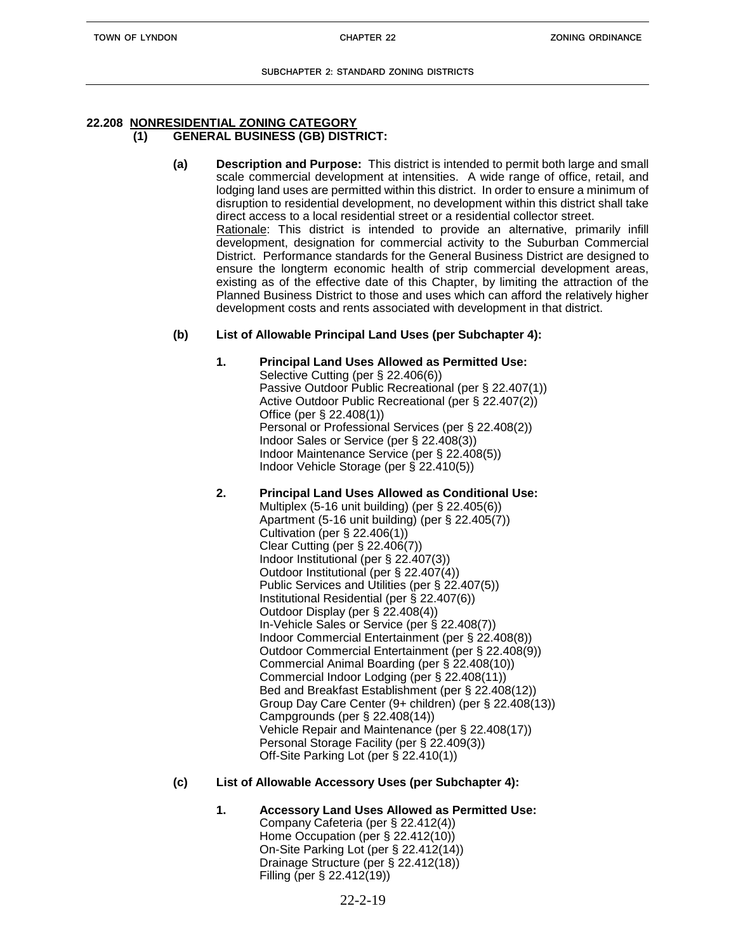#### **22.208 NONRESIDENTIAL ZONING CATEGORY (1) GENERAL BUSINESS (GB) DISTRICT:**

**(a) Description and Purpose:** This district is intended to permit both large and small scale commercial development at intensities. A wide range of office, retail, and lodging land uses are permitted within this district. In order to ensure a minimum of disruption to residential development, no development within this district shall take direct access to a local residential street or a residential collector street. Rationale: This district is intended to provide an alternative, primarily infill development, designation for commercial activity to the Suburban Commercial District. Performance standards for the General Business District are designed to ensure the longterm economic health of strip commercial development areas, existing as of the effective date of this Chapter, by limiting the attraction of the Planned Business District to those and uses which can afford the relatively higher development costs and rents associated with development in that district.

### **(b) List of Allowable Principal Land Uses (per Subchapter 4):**

### **1. Principal Land Uses Allowed as Permitted Use:**

Selective Cutting (per § 22.406(6)) Passive Outdoor Public Recreational (per § 22.407(1)) Active Outdoor Public Recreational (per § 22.407(2)) Office (per § 22.408(1)) Personal or Professional Services (per § 22.408(2)) Indoor Sales or Service (per § 22.408(3)) Indoor Maintenance Service (per § 22.408(5)) Indoor Vehicle Storage (per § 22.410(5))

# **2. Principal Land Uses Allowed as Conditional Use:**

Multiplex (5-16 unit building) (per § 22.405(6)) Apartment (5-16 unit building) (per § 22.405(7)) Cultivation (per § 22.406(1)) Clear Cutting (per § 22.406(7)) Indoor Institutional (per § 22.407(3)) Outdoor Institutional (per § 22.407(4)) Public Services and Utilities (per § 22.407(5)) Institutional Residential (per § 22.407(6)) Outdoor Display (per § 22.408(4)) In-Vehicle Sales or Service (per § 22.408(7)) Indoor Commercial Entertainment (per § 22.408(8)) Outdoor Commercial Entertainment (per § 22.408(9)) Commercial Animal Boarding (per § 22.408(10)) Commercial Indoor Lodging (per § 22.408(11)) Bed and Breakfast Establishment (per § 22.408(12)) Group Day Care Center (9+ children) (per § 22.408(13)) Campgrounds (per § 22.408(14)) Vehicle Repair and Maintenance (per § 22.408(17)) Personal Storage Facility (per § 22.409(3)) Off-Site Parking Lot (per § 22.410(1))

### **(c) List of Allowable Accessory Uses (per Subchapter 4):**

#### **1. Accessory Land Uses Allowed as Permitted Use:** Company Cafeteria (per § 22.412(4)) Home Occupation (per § 22.412(10)) On-Site Parking Lot (per § 22.412(14)) Drainage Structure (per § 22.412(18)) Filling (per § 22.412(19))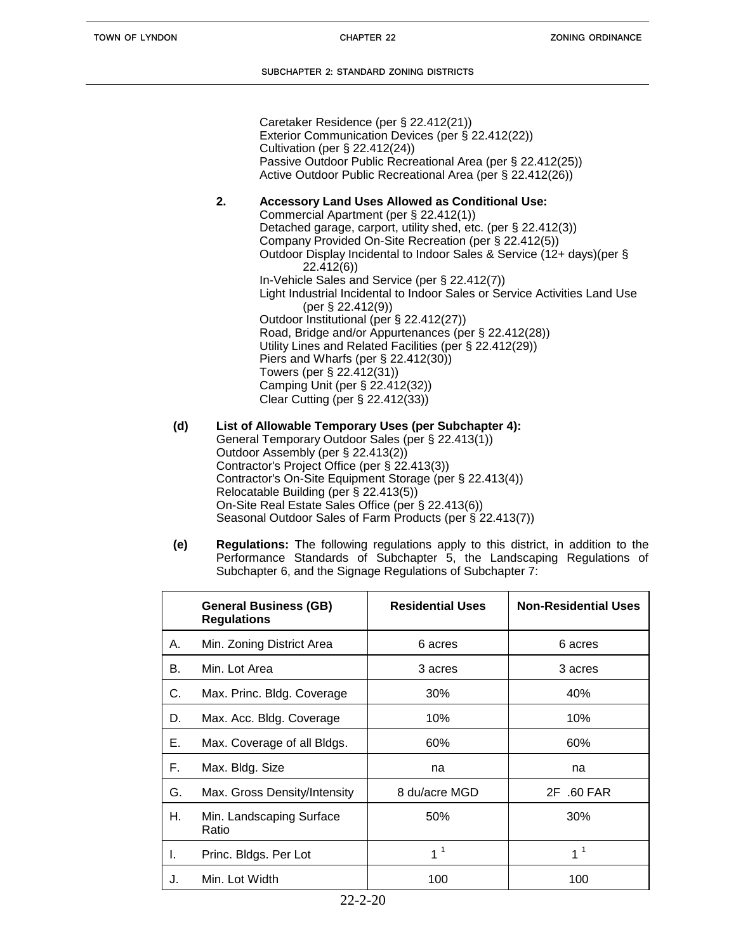Caretaker Residence (per § 22.412(21)) Exterior Communication Devices (per § 22.412(22)) Cultivation (per § 22.412(24)) Passive Outdoor Public Recreational Area (per § 22.412(25)) Active Outdoor Public Recreational Area (per § 22.412(26))

# **2. Accessory Land Uses Allowed as Conditional Use:**

Commercial Apartment (per § 22.412(1)) Detached garage, carport, utility shed, etc. (per § 22.412(3)) Company Provided On-Site Recreation (per § 22.412(5)) Outdoor Display Incidental to Indoor Sales & Service (12+ days)(per § 22.412(6)) In-Vehicle Sales and Service (per § 22.412(7)) Light Industrial Incidental to Indoor Sales or Service Activities Land Use (per § 22.412(9)) Outdoor Institutional (per § 22.412(27)) Road, Bridge and/or Appurtenances (per § 22.412(28)) Utility Lines and Related Facilities (per § 22.412(29)) Piers and Wharfs (per § 22.412(30)) Towers (per § 22.412(31)) Camping Unit (per § 22.412(32)) Clear Cutting (per § 22.412(33))

- **(d) List of Allowable Temporary Uses (per Subchapter 4):** General Temporary Outdoor Sales (per § 22.413(1)) Outdoor Assembly (per § 22.413(2)) Contractor's Project Office (per § 22.413(3)) Contractor's On-Site Equipment Storage (per § 22.413(4)) Relocatable Building (per § 22.413(5)) On-Site Real Estate Sales Office (per § 22.413(6)) Seasonal Outdoor Sales of Farm Products (per § 22.413(7))
- **(e) Regulations:** The following regulations apply to this district, in addition to the Performance Standards of Subchapter 5, the Landscaping Regulations of Subchapter 6, and the Signage Regulations of Subchapter 7:

|    | <b>General Business (GB)</b><br><b>Regulations</b> | <b>Residential Uses</b> | <b>Non-Residential Uses</b> |
|----|----------------------------------------------------|-------------------------|-----------------------------|
| А. | Min. Zoning District Area                          | 6 acres                 | 6 acres                     |
| В. | Min. Lot Area                                      | 3 acres                 | 3 acres                     |
| C. | Max. Princ. Bldg. Coverage                         | 30%                     | 40%                         |
| D. | Max. Acc. Bldg. Coverage                           | 10%                     | 10%                         |
| Е. | Max. Coverage of all Bldgs.                        | 60%                     | 60%                         |
| F. | Max. Bldg. Size                                    | na                      | na                          |
| G. | Max. Gross Density/Intensity                       | 8 du/acre MGD           | 2F .60 FAR                  |
| Н. | Min. Landscaping Surface<br>Ratio                  | 50%                     | 30%                         |
| ı. | Princ. Bldgs. Per Lot                              | 1 <sup>1</sup>          | 1 <sup>1</sup>              |
| J. | Min. Lot Width                                     | 100                     | 100                         |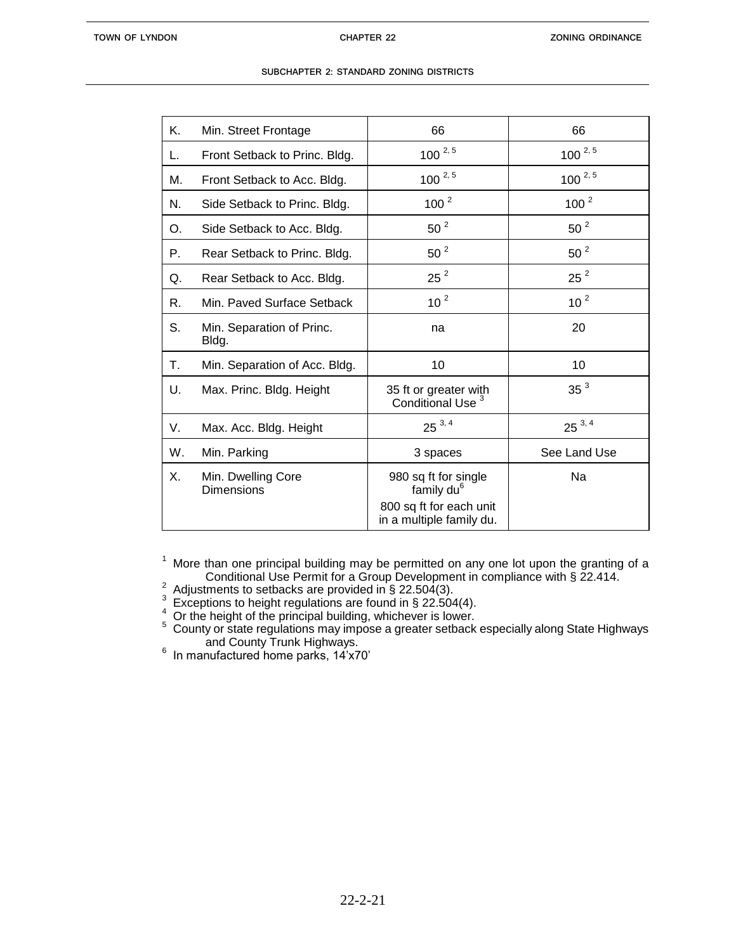| Κ. | Min. Street Frontage                    | 66                                                                        | 66              |
|----|-----------------------------------------|---------------------------------------------------------------------------|-----------------|
| L. | Front Setback to Princ. Bldg.           | $100^{2,5}$                                                               | $100^{2,5}$     |
| М. | Front Setback to Acc. Bldg.             | $100^{2,5}$                                                               | $100^{2,5}$     |
| N. | Side Setback to Princ. Bldg.            | $100^{2}$                                                                 | $100^{2}$       |
| O. | Side Setback to Acc. Bldg.              | 50 <sup>2</sup>                                                           | 50 <sup>2</sup> |
| Р. | Rear Setback to Princ. Bldg.            | 50 <sup>2</sup>                                                           | $50^2$          |
| Q. | Rear Setback to Acc. Bldg.              | $25^2$                                                                    | $25^2$          |
| R. | Min. Paved Surface Setback              | 10 <sup>2</sup>                                                           | 10 <sup>2</sup> |
| S. | Min. Separation of Princ.<br>Bldg.      | na                                                                        | 20              |
| Τ. | Min. Separation of Acc. Bldg.           | 10                                                                        | 10              |
| U. | Max. Princ. Bldg. Height                | 35 ft or greater with<br>Conditional Use <sup>3</sup>                     | 35 <sup>3</sup> |
| V. | Max. Acc. Bldg. Height                  | $25^{3,4}$                                                                | $25^{3,4}$      |
| W. | Min. Parking                            | 3 spaces                                                                  | See Land Use    |
| Х. | Min. Dwelling Core<br><b>Dimensions</b> | 980 sq ft for single<br>family du <sup>6</sup><br>800 sq ft for each unit | Na              |
|    |                                         | in a multiple family du.                                                  |                 |

 $1$  More than one principal building may be permitted on any one lot upon the granting of a Conditional Use Permit for a Group Development in compliance with § 22.414.

 $^2$  Adjustments to setbacks are provided in § 22.504(3).<br><sup>3</sup> Exceptions to height regulations are found in § 22.504(4).

 $\frac{4}{3}$  Or the height of the principal building, whichever is lower.

 $5$  County or state regulations may impose a greater setback especially along State Highways

and County Trunk Highways. 6 In manufactured home parks, 14'x70'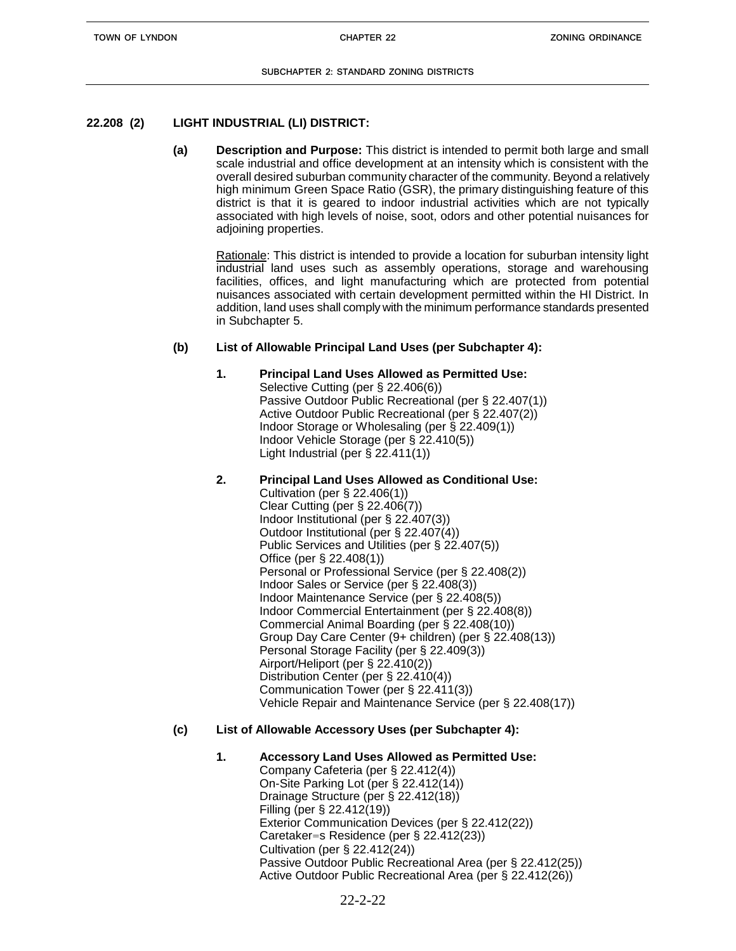# **22.208 (2) LIGHT INDUSTRIAL (LI) DISTRICT:**

**(a) Description and Purpose:** This district is intended to permit both large and small scale industrial and office development at an intensity which is consistent with the overall desired suburban community character of the community. Beyond a relatively high minimum Green Space Ratio (GSR), the primary distinguishing feature of this district is that it is geared to indoor industrial activities which are not typically associated with high levels of noise, soot, odors and other potential nuisances for adjoining properties.

Rationale: This district is intended to provide a location for suburban intensity light industrial land uses such as assembly operations, storage and warehousing facilities, offices, and light manufacturing which are protected from potential nuisances associated with certain development permitted within the HI District. In addition, land uses shall comply with the minimum performance standards presented in Subchapter 5.

# **(b) List of Allowable Principal Land Uses (per Subchapter 4):**

**1. Principal Land Uses Allowed as Permitted Use:** Selective Cutting (per § 22.406(6)) Passive Outdoor Public Recreational (per § 22.407(1)) Active Outdoor Public Recreational (per § 22.407(2)) Indoor Storage or Wholesaling (per § 22.409(1)) Indoor Vehicle Storage (per § 22.410(5)) Light Industrial (per § 22.411(1))

# **2. Principal Land Uses Allowed as Conditional Use:**

Cultivation (per § 22.406(1)) Clear Cutting (per § 22.406(7)) Indoor Institutional (per § 22.407(3)) Outdoor Institutional (per § 22.407(4)) Public Services and Utilities (per § 22.407(5)) Office (per § 22.408(1)) Personal or Professional Service (per § 22.408(2)) Indoor Sales or Service (per § 22.408(3)) Indoor Maintenance Service (per § 22.408(5)) Indoor Commercial Entertainment (per § 22.408(8)) Commercial Animal Boarding (per § 22.408(10)) Group Day Care Center (9+ children) (per § 22.408(13)) Personal Storage Facility (per § 22.409(3)) Airport/Heliport (per § 22.410(2)) Distribution Center (per § 22.410(4)) Communication Tower (per § 22.411(3)) Vehicle Repair and Maintenance Service (per § 22.408(17))

# **(c) List of Allowable Accessory Uses (per Subchapter 4):**

### **1. Accessory Land Uses Allowed as Permitted Use:**

Company Cafeteria (per § 22.412(4)) On-Site Parking Lot (per § 22.412(14)) Drainage Structure (per § 22.412(18)) Filling (per § 22.412(19)) Exterior Communication Devices (per § 22.412(22)) Caretaker=s Residence (per § 22.412(23)) Cultivation (per § 22.412(24)) Passive Outdoor Public Recreational Area (per § 22.412(25)) Active Outdoor Public Recreational Area (per § 22.412(26))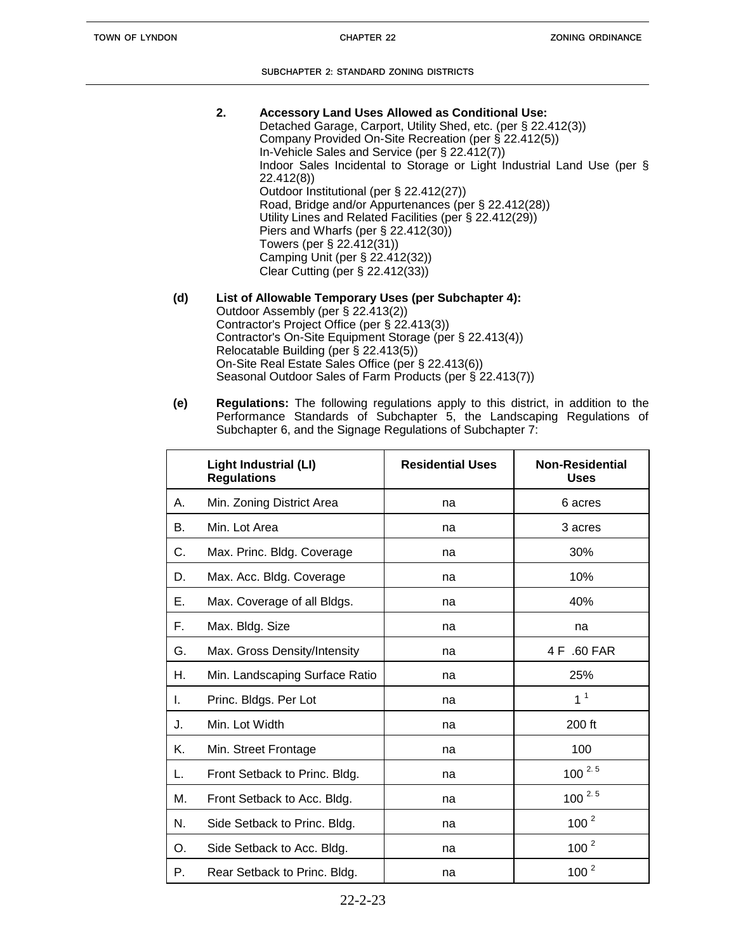- **2. Accessory Land Uses Allowed as Conditional Use:** Detached Garage, Carport, Utility Shed, etc. (per § 22.412(3)) Company Provided On-Site Recreation (per § 22.412(5)) In-Vehicle Sales and Service (per § 22.412(7)) Indoor Sales Incidental to Storage or Light Industrial Land Use (per § 22.412(8)) Outdoor Institutional (per § 22.412(27)) Road, Bridge and/or Appurtenances (per § 22.412(28)) Utility Lines and Related Facilities (per § 22.412(29)) Piers and Wharfs (per § 22.412(30)) Towers (per § 22.412(31)) Camping Unit (per § 22.412(32)) Clear Cutting (per § 22.412(33))
- **(d) List of Allowable Temporary Uses (per Subchapter 4):** Outdoor Assembly (per § 22.413(2)) Contractor's Project Office (per § 22.413(3)) Contractor's On-Site Equipment Storage (per § 22.413(4)) Relocatable Building (per § 22.413(5)) On-Site Real Estate Sales Office (per § 22.413(6)) Seasonal Outdoor Sales of Farm Products (per § 22.413(7))
- **(e) Regulations:** The following regulations apply to this district, in addition to the Performance Standards of Subchapter 5, the Landscaping Regulations of Subchapter 6, and the Signage Regulations of Subchapter 7:

|    | <b>Light Industrial (LI)</b><br><b>Regulations</b> | <b>Residential Uses</b> | <b>Non-Residential</b><br><b>Uses</b> |
|----|----------------------------------------------------|-------------------------|---------------------------------------|
| А. | Min. Zoning District Area                          | na                      | 6 acres                               |
| В. | Min. Lot Area                                      | na                      | 3 acres                               |
| C. | Max. Princ. Bldg. Coverage                         | na                      | 30%                                   |
| D. | Max. Acc. Bldg. Coverage                           | na                      | 10%                                   |
| Е. | Max. Coverage of all Bldgs.                        | na                      | 40%                                   |
| F. | Max. Bldg. Size                                    | na                      | na                                    |
| G. | Max. Gross Density/Intensity                       | na                      | 4 F .60 FAR                           |
| Н. | Min. Landscaping Surface Ratio                     | na                      | 25%                                   |
| I. | Princ. Bldgs. Per Lot                              | na                      | 1 <sup>1</sup>                        |
| J. | Min. Lot Width                                     | na                      | 200 ft                                |
| Κ. | Min. Street Frontage                               | na                      | 100                                   |
| L. | Front Setback to Princ. Bldg.                      | na                      | $100^{2.5}$                           |
| М. | Front Setback to Acc. Bldg.                        | na                      | $100^{2.5}$                           |
| N. | Side Setback to Princ. Bldg.                       | na                      | 100 <sup>2</sup>                      |
| O. | Side Setback to Acc. Bldg.                         | na                      | 100 <sup>2</sup>                      |
| Р. | Rear Setback to Princ. Bldg.                       | na                      | 100 <sup>2</sup>                      |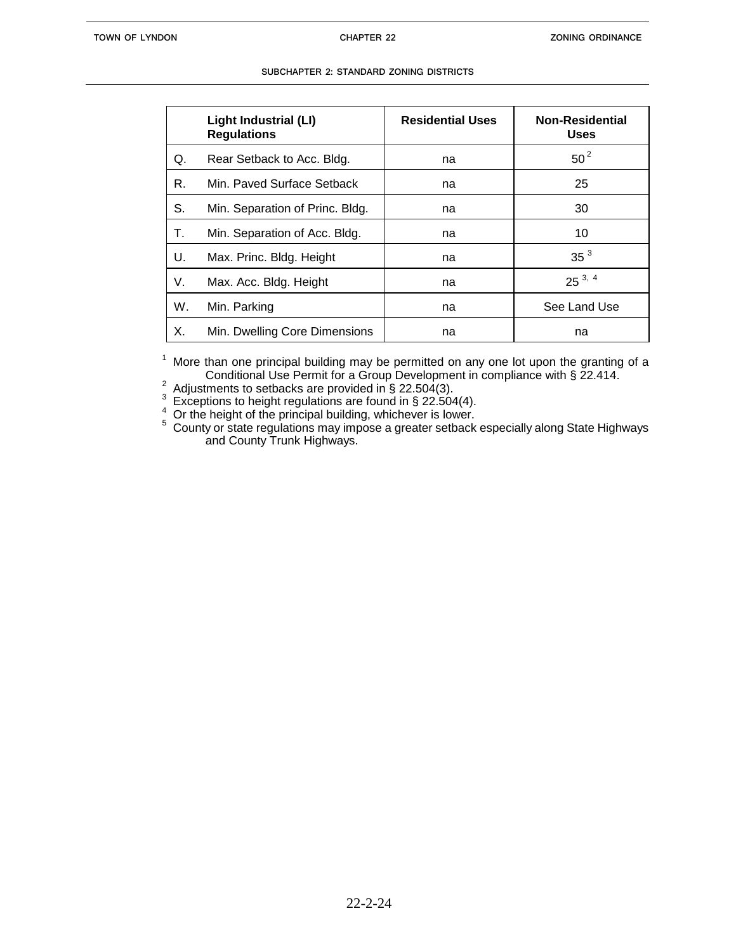|    | Light Industrial (LI)<br><b>Regulations</b> | <b>Residential Uses</b> | <b>Non-Residential</b><br><b>Uses</b> |
|----|---------------------------------------------|-------------------------|---------------------------------------|
| Q. | Rear Setback to Acc. Bldg.                  | na                      | $50^2$                                |
| R. | Min. Paved Surface Setback                  | na                      | 25                                    |
| S. | Min. Separation of Princ. Bldg.             | na                      | 30                                    |
| Т. | Min. Separation of Acc. Bldg.               | na                      | 10                                    |
| U. | Max. Princ. Bldg. Height                    | na                      | 35 <sup>3</sup>                       |
| V. | Max. Acc. Bldg. Height                      | na                      | $25^{3,4}$                            |
| W. | Min. Parking                                | na                      | See Land Use                          |
| Х. | Min. Dwelling Core Dimensions               | na                      | na                                    |

 $1$  More than one principal building may be permitted on any one lot upon the granting of a Conditional Use Permit for a Group Development in compliance with § 22.414.

2 Adjustments to setbacks are provided in § 22.504(3).

3 Exceptions to height regulations are found in § 22.504(4).

4 Or the height of the principal building, whichever is lower.

<sup>5</sup> County or state regulations may impose a greater setback especially along State Highways and County Trunk Highways.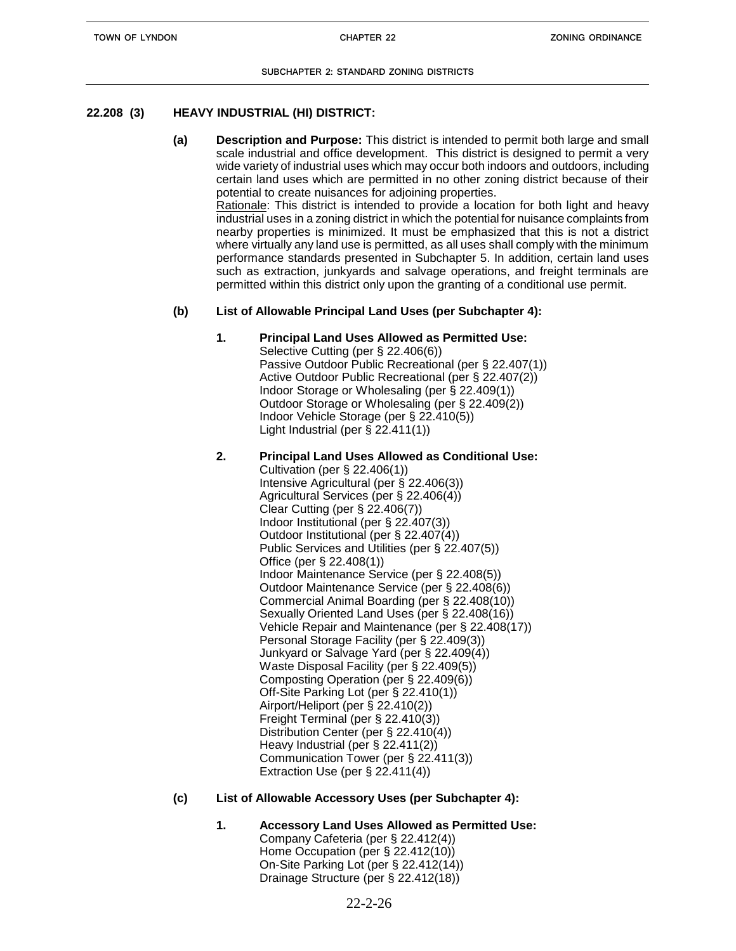# **22.208 (3) HEAVY INDUSTRIAL (HI) DISTRICT:**

**(a) Description and Purpose:** This district is intended to permit both large and small scale industrial and office development. This district is designed to permit a very wide variety of industrial uses which may occur both indoors and outdoors, including certain land uses which are permitted in no other zoning district because of their potential to create nuisances for adjoining properties. Rationale: This district is intended to provide a location for both light and heavy industrial uses in a zoning district in which the potential for nuisance complaints from nearby properties is minimized. It must be emphasized that this is not a district where virtually any land use is permitted, as all uses shall comply with the minimum performance standards presented in Subchapter 5. In addition, certain land uses

such as extraction, junkyards and salvage operations, and freight terminals are permitted within this district only upon the granting of a conditional use permit.

# **(b) List of Allowable Principal Land Uses (per Subchapter 4):**

- **1. Principal Land Uses Allowed as Permitted Use:** Selective Cutting (per § 22.406(6)) Passive Outdoor Public Recreational (per § 22.407(1)) Active Outdoor Public Recreational (per § 22.407(2)) Indoor Storage or Wholesaling (per § 22.409(1)) Outdoor Storage or Wholesaling (per § 22.409(2)) Indoor Vehicle Storage (per § 22.410(5)) Light Industrial (per  $\S$  22.411(1))
- **2. Principal Land Uses Allowed as Conditional Use:** Cultivation (per § 22.406(1)) Intensive Agricultural (per § 22.406(3)) Agricultural Services (per § 22.406(4)) Clear Cutting (per § 22.406(7)) Indoor Institutional (per § 22.407(3)) Outdoor Institutional (per § 22.407(4)) Public Services and Utilities (per § 22.407(5)) Office (per § 22.408(1)) Indoor Maintenance Service (per § 22.408(5)) Outdoor Maintenance Service (per § 22.408(6)) Commercial Animal Boarding (per § 22.408(10)) Sexually Oriented Land Uses (per § 22.408(16)) Vehicle Repair and Maintenance (per § 22.408(17)) Personal Storage Facility (per § 22.409(3)) Junkyard or Salvage Yard (per § 22.409(4)) Waste Disposal Facility (per § 22.409(5)) Composting Operation (per § 22.409(6)) Off-Site Parking Lot (per § 22.410(1)) Airport/Heliport (per § 22.410(2)) Freight Terminal (per § 22.410(3)) Distribution Center (per § 22.410(4)) Heavy Industrial (per § 22.411(2)) Communication Tower (per § 22.411(3)) Extraction Use (per § 22.411(4))

### **(c) List of Allowable Accessory Uses (per Subchapter 4):**

- **1. Accessory Land Uses Allowed as Permitted Use:**
	- Company Cafeteria (per § 22.412(4)) Home Occupation (per § 22.412(10)) On-Site Parking Lot (per § 22.412(14)) Drainage Structure (per § 22.412(18))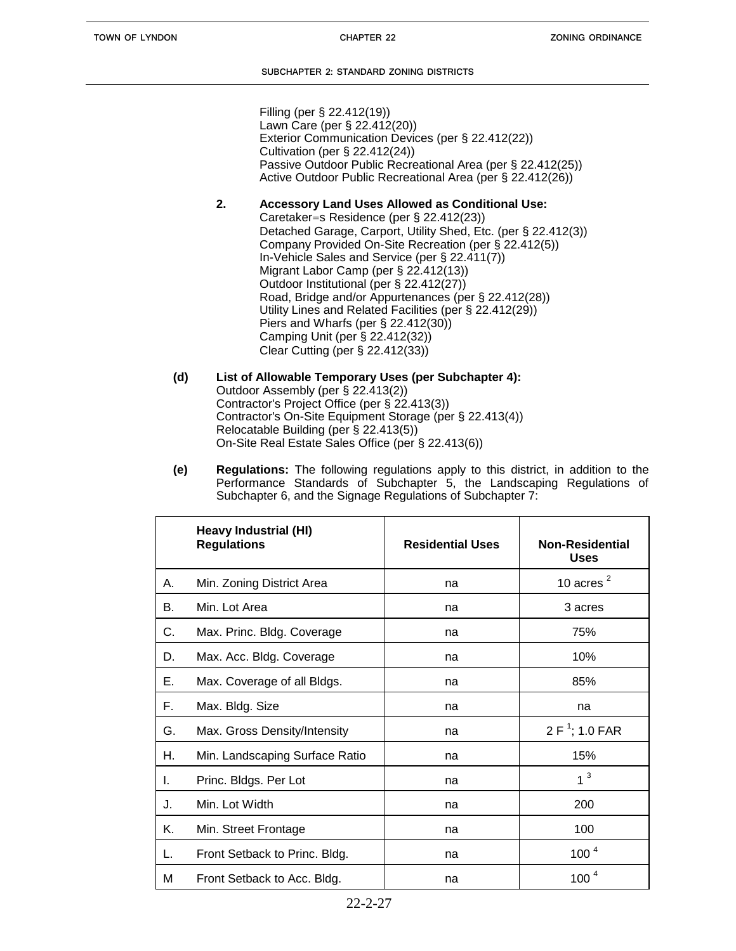Filling (per § 22.412(19)) Lawn Care (per § 22.412(20)) Exterior Communication Devices (per § 22.412(22)) Cultivation (per § 22.412(24)) Passive Outdoor Public Recreational Area (per § 22.412(25)) Active Outdoor Public Recreational Area (per § 22.412(26))

# **2. Accessory Land Uses Allowed as Conditional Use:**

- Caretaker=s Residence (per § 22.412(23)) Detached Garage, Carport, Utility Shed, Etc. (per § 22.412(3)) Company Provided On-Site Recreation (per § 22.412(5)) In-Vehicle Sales and Service (per § 22.411(7)) Migrant Labor Camp (per § 22.412(13)) Outdoor Institutional (per § 22.412(27)) Road, Bridge and/or Appurtenances (per § 22.412(28)) Utility Lines and Related Facilities (per § 22.412(29)) Piers and Wharfs (per § 22.412(30)) Camping Unit (per § 22.412(32)) Clear Cutting (per § 22.412(33))
- **(d) List of Allowable Temporary Uses (per Subchapter 4):** Outdoor Assembly (per § 22.413(2)) Contractor's Project Office (per § 22.413(3)) Contractor's On-Site Equipment Storage (per § 22.413(4)) Relocatable Building (per § 22.413(5)) On-Site Real Estate Sales Office (per § 22.413(6))
- **(e) Regulations:** The following regulations apply to this district, in addition to the Performance Standards of Subchapter 5, the Landscaping Regulations of Subchapter 6, and the Signage Regulations of Subchapter 7:

|    | <b>Heavy Industrial (HI)</b><br><b>Regulations</b> | <b>Residential Uses</b> | <b>Non-Residential</b><br><b>Uses</b> |
|----|----------------------------------------------------|-------------------------|---------------------------------------|
| А. | Min. Zoning District Area                          | na                      | 10 acres $^2$                         |
| В. | Min. Lot Area                                      | na                      | 3 acres                               |
| C. | Max. Princ. Bldg. Coverage                         | na                      | 75%                                   |
| D. | Max. Acc. Bldg. Coverage                           | na                      | 10%                                   |
| Е. | Max. Coverage of all Bldgs.                        | na                      | 85%                                   |
| F. | Max. Bldg. Size                                    | na                      | na                                    |
| G. | Max. Gross Density/Intensity                       | na                      | $2 F1$ ; 1.0 FAR                      |
| Н. | Min. Landscaping Surface Ratio                     | na                      | 15%                                   |
| L. | Princ. Bldgs. Per Lot                              | na                      | 1 <sup>3</sup>                        |
| J. | Min. Lot Width                                     | na                      | 200                                   |
| Κ. | Min. Street Frontage                               | na                      | 100                                   |
| L. | Front Setback to Princ. Bldg.                      | na                      | 100 <sup>4</sup>                      |
| м  | Front Setback to Acc. Bldg.                        | na                      | 100 <sup>4</sup>                      |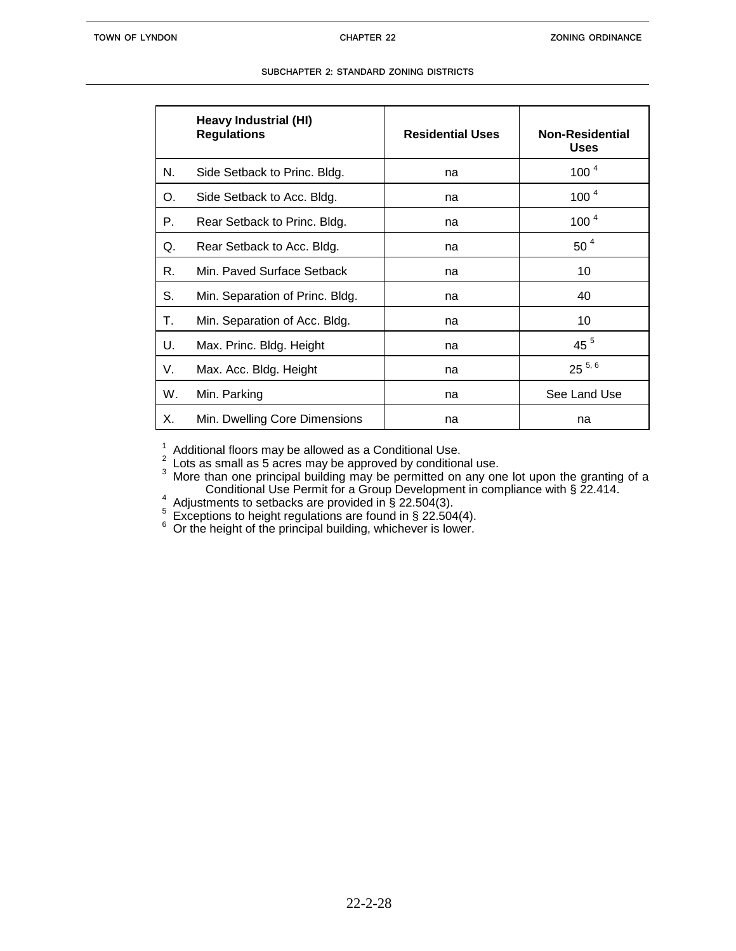|    | Heavy Industrial (HI)<br><b>Regulations</b> | <b>Residential Uses</b> | <b>Non-Residential</b><br><b>Uses</b> |
|----|---------------------------------------------|-------------------------|---------------------------------------|
| N. | Side Setback to Princ. Bldg.                | na                      | 100 <sup>4</sup>                      |
| O. | Side Setback to Acc. Bldg.                  | na                      | 100 <sup>4</sup>                      |
| Р. | Rear Setback to Princ. Bldg.                | na                      | 100 <sup>4</sup>                      |
| Q. | Rear Setback to Acc. Bldg.                  | na                      | 50 <sup>4</sup>                       |
| R. | Min. Paved Surface Setback                  | na                      | 10                                    |
| S. | Min. Separation of Princ. Bldg.             | na                      | 40                                    |
| Т. | Min. Separation of Acc. Bldg.               | na                      | 10                                    |
| U. | Max. Princ. Bldg. Height                    | na                      | 45 <sup>5</sup>                       |
| V. | Max. Acc. Bldg. Height                      | na                      | $25^{5,6}$                            |
| W. | Min. Parking                                | na                      | See Land Use                          |
| Х. | Min. Dwelling Core Dimensions               | na                      | na                                    |

 $\frac{1}{2}$  Additional floors may be allowed as a Conditional Use.<br> $\frac{2}{5}$  Lots as small as 5 acres may be approved by conditional use.

 $3$  More than one principal building may be permitted on any one lot upon the granting of a Conditional Use Permit for a Group Development in compliance with § 22.414.

 $\frac{4}{3}$  Adjustments to setbacks are provided in § 22.504(3).

 $5\overline{)}$  Exceptions to height regulations are found in § 22.504(4).

 $6$  Or the height of the principal building, whichever is lower.